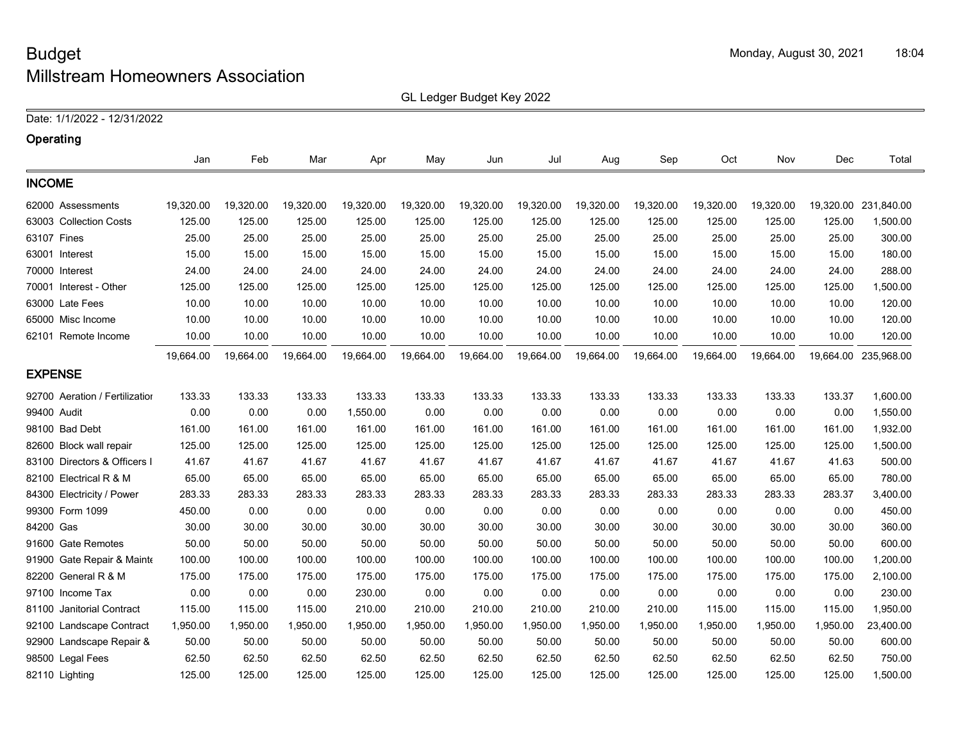GL Ledger Budget Key 2022

Date: 1/1/2022 - 12/31/2022

| Operating                      |           |           |           |           |           |           |           |           |           |           |           |           |                      |
|--------------------------------|-----------|-----------|-----------|-----------|-----------|-----------|-----------|-----------|-----------|-----------|-----------|-----------|----------------------|
|                                | Jan       | Feb       | Mar       | Apr       | May       | Jun       | Jul       | Aug       | Sep       | Oct       | Nov       | Dec       | Total                |
| <b>INCOME</b>                  |           |           |           |           |           |           |           |           |           |           |           |           |                      |
| 62000 Assessments              | 19,320.00 | 19,320.00 | 19,320.00 | 19,320.00 | 19,320.00 | 19,320.00 | 19,320.00 | 19,320.00 | 19,320.00 | 19,320.00 | 19,320.00 | 19,320.00 | 231,840.00           |
| 63003 Collection Costs         | 125.00    | 125.00    | 125.00    | 125.00    | 125.00    | 125.00    | 125.00    | 125.00    | 125.00    | 125.00    | 125.00    | 125.00    | 1,500.00             |
| 63107 Fines                    | 25.00     | 25.00     | 25.00     | 25.00     | 25.00     | 25.00     | 25.00     | 25.00     | 25.00     | 25.00     | 25.00     | 25.00     | 300.00               |
| 63001 Interest                 | 15.00     | 15.00     | 15.00     | 15.00     | 15.00     | 15.00     | 15.00     | 15.00     | 15.00     | 15.00     | 15.00     | 15.00     | 180.00               |
| 70000 Interest                 | 24.00     | 24.00     | 24.00     | 24.00     | 24.00     | 24.00     | 24.00     | 24.00     | 24.00     | 24.00     | 24.00     | 24.00     | 288.00               |
| 70001 Interest - Other         | 125.00    | 125.00    | 125.00    | 125.00    | 125.00    | 125.00    | 125.00    | 125.00    | 125.00    | 125.00    | 125.00    | 125.00    | 1,500.00             |
| 63000 Late Fees                | 10.00     | 10.00     | 10.00     | 10.00     | 10.00     | 10.00     | 10.00     | 10.00     | 10.00     | 10.00     | 10.00     | 10.00     | 120.00               |
| 65000 Misc Income              | 10.00     | 10.00     | 10.00     | 10.00     | 10.00     | 10.00     | 10.00     | 10.00     | 10.00     | 10.00     | 10.00     | 10.00     | 120.00               |
| 62101 Remote Income            | 10.00     | 10.00     | 10.00     | 10.00     | 10.00     | 10.00     | 10.00     | 10.00     | 10.00     | 10.00     | 10.00     | 10.00     | 120.00               |
|                                | 19,664.00 | 19,664.00 | 19,664.00 | 19,664.00 | 19,664.00 | 19,664.00 | 19,664.00 | 19,664.00 | 19,664.00 | 19,664.00 | 19,664.00 |           | 19,664.00 235,968.00 |
| <b>EXPENSE</b>                 |           |           |           |           |           |           |           |           |           |           |           |           |                      |
| 92700 Aeration / Fertilization | 133.33    | 133.33    | 133.33    | 133.33    | 133.33    | 133.33    | 133.33    | 133.33    | 133.33    | 133.33    | 133.33    | 133.37    | 1,600.00             |
| 99400 Audit                    | 0.00      | 0.00      | 0.00      | 1,550.00  | 0.00      | 0.00      | 0.00      | 0.00      | 0.00      | 0.00      | 0.00      | 0.00      | 1,550.00             |
| 98100 Bad Debt                 | 161.00    | 161.00    | 161.00    | 161.00    | 161.00    | 161.00    | 161.00    | 161.00    | 161.00    | 161.00    | 161.00    | 161.00    | 1,932.00             |
| 82600 Block wall repair        | 125.00    | 125.00    | 125.00    | 125.00    | 125.00    | 125.00    | 125.00    | 125.00    | 125.00    | 125.00    | 125.00    | 125.00    | 1,500.00             |
| 83100 Directors & Officers I   | 41.67     | 41.67     | 41.67     | 41.67     | 41.67     | 41.67     | 41.67     | 41.67     | 41.67     | 41.67     | 41.67     | 41.63     | 500.00               |
| 82100 Electrical R & M         | 65.00     | 65.00     | 65.00     | 65.00     | 65.00     | 65.00     | 65.00     | 65.00     | 65.00     | 65.00     | 65.00     | 65.00     | 780.00               |
| 84300 Electricity / Power      | 283.33    | 283.33    | 283.33    | 283.33    | 283.33    | 283.33    | 283.33    | 283.33    | 283.33    | 283.33    | 283.33    | 283.37    | 3,400.00             |
| 99300 Form 1099                | 450.00    | 0.00      | 0.00      | 0.00      | 0.00      | 0.00      | 0.00      | 0.00      | 0.00      | 0.00      | 0.00      | 0.00      | 450.00               |
| 84200 Gas                      | 30.00     | 30.00     | 30.00     | 30.00     | 30.00     | 30.00     | 30.00     | 30.00     | 30.00     | 30.00     | 30.00     | 30.00     | 360.00               |
| 91600 Gate Remotes             | 50.00     | 50.00     | 50.00     | 50.00     | 50.00     | 50.00     | 50.00     | 50.00     | 50.00     | 50.00     | 50.00     | 50.00     | 600.00               |
| 91900 Gate Repair & Mainte     | 100.00    | 100.00    | 100.00    | 100.00    | 100.00    | 100.00    | 100.00    | 100.00    | 100.00    | 100.00    | 100.00    | 100.00    | 1,200.00             |
| 82200 General R & M            | 175.00    | 175.00    | 175.00    | 175.00    | 175.00    | 175.00    | 175.00    | 175.00    | 175.00    | 175.00    | 175.00    | 175.00    | 2,100.00             |
| 97100 Income Tax               | 0.00      | 0.00      | 0.00      | 230.00    | 0.00      | 0.00      | 0.00      | 0.00      | 0.00      | 0.00      | 0.00      | 0.00      | 230.00               |
| 81100 Janitorial Contract      | 115.00    | 115.00    | 115.00    | 210.00    | 210.00    | 210.00    | 210.00    | 210.00    | 210.00    | 115.00    | 115.00    | 115.00    | 1,950.00             |
| 92100 Landscape Contract       | 1,950.00  | 1,950.00  | 1,950.00  | 1,950.00  | 1,950.00  | 1,950.00  | 1,950.00  | 1,950.00  | 1,950.00  | 1,950.00  | 1,950.00  | 1,950.00  | 23,400.00            |
| 92900 Landscape Repair &       | 50.00     | 50.00     | 50.00     | 50.00     | 50.00     | 50.00     | 50.00     | 50.00     | 50.00     | 50.00     | 50.00     | 50.00     | 600.00               |
| 98500 Legal Fees               | 62.50     | 62.50     | 62.50     | 62.50     | 62.50     | 62.50     | 62.50     | 62.50     | 62.50     | 62.50     | 62.50     | 62.50     | 750.00               |
| 82110 Lighting                 | 125.00    | 125.00    | 125.00    | 125.00    | 125.00    | 125.00    | 125.00    | 125.00    | 125.00    | 125.00    | 125.00    | 125.00    | 1,500.00             |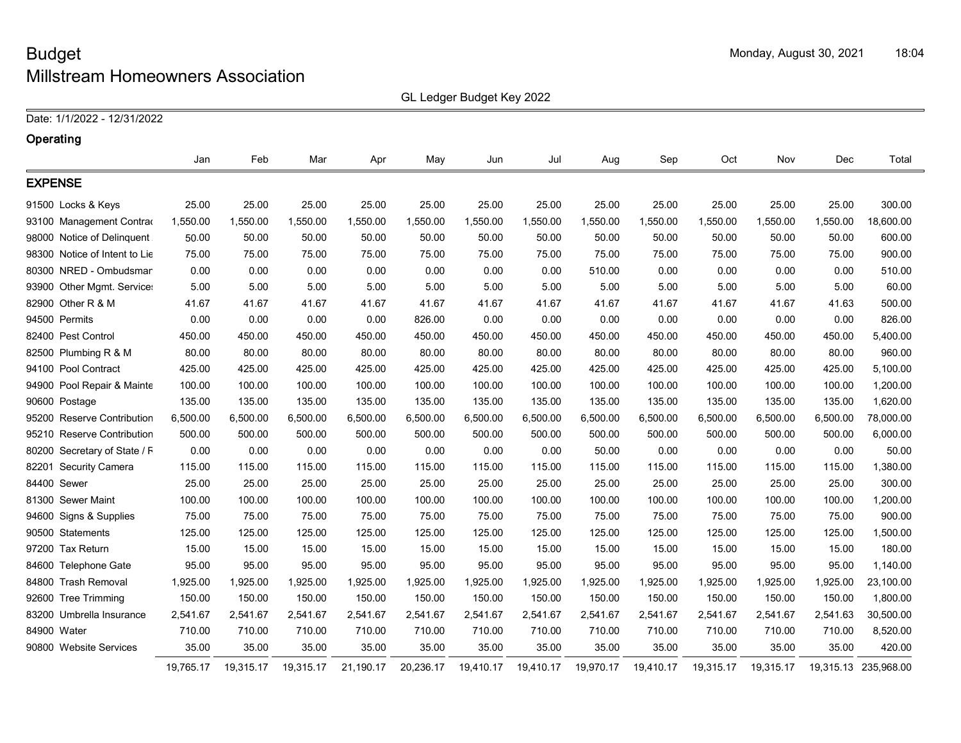GL Ledger Budget Key 2022

Date: 1/1/2022 - 12/31/2022

| Operating                            |           |           |           |           |           |           |           |           |           |           |           |          |                      |
|--------------------------------------|-----------|-----------|-----------|-----------|-----------|-----------|-----------|-----------|-----------|-----------|-----------|----------|----------------------|
|                                      | Jan       | Feb       | Mar       | Apr       | May       | Jun       | Jul       | Aug       | Sep       | Oct       | Nov       | Dec      | Total                |
| <b>EXPENSE</b>                       |           |           |           |           |           |           |           |           |           |           |           |          |                      |
| 91500 Locks & Keys                   | 25.00     | 25.00     | 25.00     | 25.00     | 25.00     | 25.00     | 25.00     | 25.00     | 25.00     | 25.00     | 25.00     | 25.00    | 300.00               |
| 93100 Management Contrad             | 1,550.00  | 1,550.00  | 1,550.00  | 1,550.00  | 1,550.00  | 1,550.00  | 1,550.00  | 1,550.00  | 1,550.00  | 1,550.00  | 1,550.00  | 1,550.00 | 18,600.00            |
| 98000 Notice of Delinquent           | 50.00     | 50.00     | 50.00     | 50.00     | 50.00     | 50.00     | 50.00     | 50.00     | 50.00     | 50.00     | 50.00     | 50.00    | 600.00               |
| 98300 Notice of Intent to Lie        | 75.00     | 75.00     | 75.00     | 75.00     | 75.00     | 75.00     | 75.00     | 75.00     | 75.00     | 75.00     | 75.00     | 75.00    | 900.00               |
| 80300 NRED - Ombudsmar               | 0.00      | 0.00      | 0.00      | 0.00      | 0.00      | 0.00      | 0.00      | 510.00    | 0.00      | 0.00      | 0.00      | 0.00     | 510.00               |
| 93900 Other Mgmt. Service:           | 5.00      | 5.00      | 5.00      | 5.00      | 5.00      | 5.00      | 5.00      | 5.00      | 5.00      | 5.00      | 5.00      | 5.00     | 60.00                |
| 82900 Other R & M                    | 41.67     | 41.67     | 41.67     | 41.67     | 41.67     | 41.67     | 41.67     | 41.67     | 41.67     | 41.67     | 41.67     | 41.63    | 500.00               |
| 94500 Permits                        | 0.00      | 0.00      | 0.00      | 0.00      | 826.00    | 0.00      | 0.00      | 0.00      | 0.00      | 0.00      | 0.00      | 0.00     | 826.00               |
| 82400 Pest Control                   | 450.00    | 450.00    | 450.00    | 450.00    | 450.00    | 450.00    | 450.00    | 450.00    | 450.00    | 450.00    | 450.00    | 450.00   | 5,400.00             |
| 82500 Plumbing R & M                 | 80.00     | 80.00     | 80.00     | 80.00     | 80.00     | 80.00     | 80.00     | 80.00     | 80.00     | 80.00     | 80.00     | 80.00    | 960.00               |
| 94100 Pool Contract                  | 425.00    | 425.00    | 425.00    | 425.00    | 425.00    | 425.00    | 425.00    | 425.00    | 425.00    | 425.00    | 425.00    | 425.00   | 5,100.00             |
| 94900 Pool Repair & Mainte           | 100.00    | 100.00    | 100.00    | 100.00    | 100.00    | 100.00    | 100.00    | 100.00    | 100.00    | 100.00    | 100.00    | 100.00   | 1,200.00             |
| 90600 Postage                        | 135.00    | 135.00    | 135.00    | 135.00    | 135.00    | 135.00    | 135.00    | 135.00    | 135.00    | 135.00    | 135.00    | 135.00   | 1,620.00             |
| 95200 Reserve Contribution           | 6,500.00  | 6,500.00  | 6,500.00  | 6,500.00  | 6,500.00  | 6,500.00  | 6,500.00  | 6,500.00  | 6,500.00  | 6,500.00  | 6,500.00  | 6,500.00 | 78,000.00            |
| <b>Reserve Contribution</b><br>95210 | 500.00    | 500.00    | 500.00    | 500.00    | 500.00    | 500.00    | 500.00    | 500.00    | 500.00    | 500.00    | 500.00    | 500.00   | 6,000.00             |
| 80200 Secretary of State / F         | 0.00      | 0.00      | 0.00      | 0.00      | 0.00      | 0.00      | 0.00      | 50.00     | 0.00      | 0.00      | 0.00      | 0.00     | 50.00                |
| 82201 Security Camera                | 115.00    | 115.00    | 115.00    | 115.00    | 115.00    | 115.00    | 115.00    | 115.00    | 115.00    | 115.00    | 115.00    | 115.00   | 1,380.00             |
| 84400 Sewer                          | 25.00     | 25.00     | 25.00     | 25.00     | 25.00     | 25.00     | 25.00     | 25.00     | 25.00     | 25.00     | 25.00     | 25.00    | 300.00               |
| 81300 Sewer Maint                    | 100.00    | 100.00    | 100.00    | 100.00    | 100.00    | 100.00    | 100.00    | 100.00    | 100.00    | 100.00    | 100.00    | 100.00   | 1,200.00             |
| 94600 Signs & Supplies               | 75.00     | 75.00     | 75.00     | 75.00     | 75.00     | 75.00     | 75.00     | 75.00     | 75.00     | 75.00     | 75.00     | 75.00    | 900.00               |
| 90500 Statements                     | 125.00    | 125.00    | 125.00    | 125.00    | 125.00    | 125.00    | 125.00    | 125.00    | 125.00    | 125.00    | 125.00    | 125.00   | 1,500.00             |
| 97200 Tax Return                     | 15.00     | 15.00     | 15.00     | 15.00     | 15.00     | 15.00     | 15.00     | 15.00     | 15.00     | 15.00     | 15.00     | 15.00    | 180.00               |
| 84600 Telephone Gate                 | 95.00     | 95.00     | 95.00     | 95.00     | 95.00     | 95.00     | 95.00     | 95.00     | 95.00     | 95.00     | 95.00     | 95.00    | 1,140.00             |
| 84800 Trash Removal                  | 1,925.00  | 1,925.00  | 1,925.00  | 1,925.00  | 1,925.00  | 1,925.00  | 1,925.00  | 1,925.00  | 1,925.00  | 1,925.00  | 1,925.00  | 1,925.00 | 23,100.00            |
| 92600 Tree Trimming                  | 150.00    | 150.00    | 150.00    | 150.00    | 150.00    | 150.00    | 150.00    | 150.00    | 150.00    | 150.00    | 150.00    | 150.00   | 1,800.00             |
| 83200 Umbrella Insurance             | 2,541.67  | 2,541.67  | 2,541.67  | 2,541.67  | 2,541.67  | 2,541.67  | 2,541.67  | 2,541.67  | 2,541.67  | 2,541.67  | 2,541.67  | 2,541.63 | 30,500.00            |
| 84900 Water                          | 710.00    | 710.00    | 710.00    | 710.00    | 710.00    | 710.00    | 710.00    | 710.00    | 710.00    | 710.00    | 710.00    | 710.00   | 8,520.00             |
| 90800 Website Services               | 35.00     | 35.00     | 35.00     | 35.00     | 35.00     | 35.00     | 35.00     | 35.00     | 35.00     | 35.00     | 35.00     | 35.00    | 420.00               |
|                                      | 19,765.17 | 19,315.17 | 19,315.17 | 21,190.17 | 20,236.17 | 19,410.17 | 19,410.17 | 19,970.17 | 19,410.17 | 19,315.17 | 19,315.17 |          | 19,315.13 235,968.00 |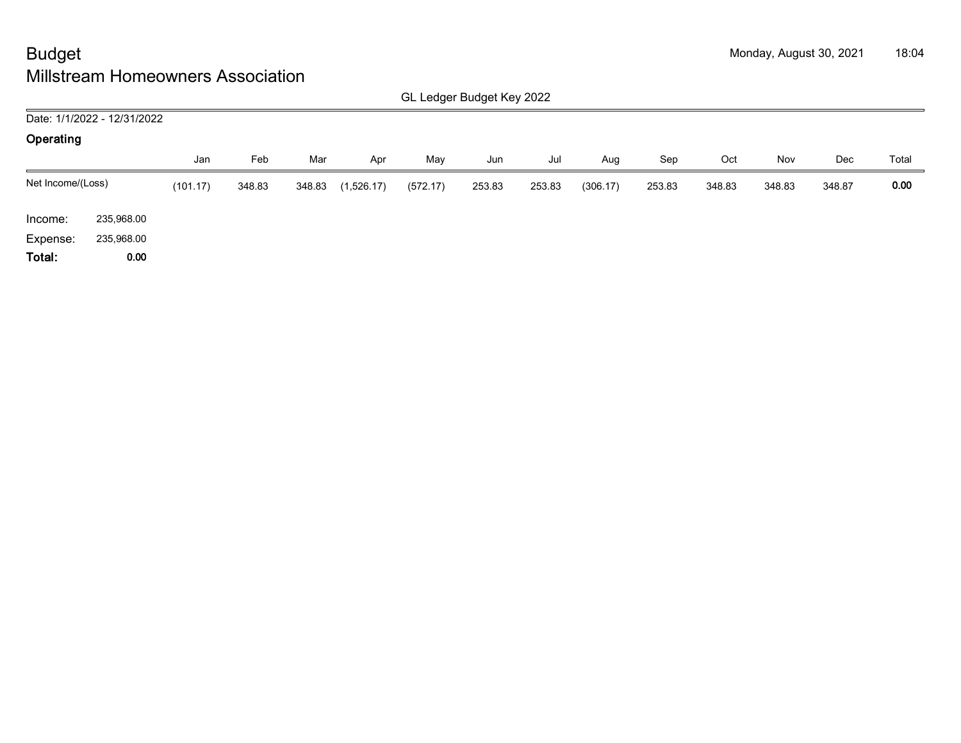|                   | GL Ledger Budget Key 2022   |          |        |        |            |          |        |        |          |        |        |        |        |       |
|-------------------|-----------------------------|----------|--------|--------|------------|----------|--------|--------|----------|--------|--------|--------|--------|-------|
|                   | Date: 1/1/2022 - 12/31/2022 |          |        |        |            |          |        |        |          |        |        |        |        |       |
| Operating         |                             |          |        |        |            |          |        |        |          |        |        |        |        |       |
|                   |                             | Jan      | Feb    | Mar    | Apr        | May      | Jun    | Jul    | Aug      | Sep    | Oct    | Nov    | Dec    | Total |
| Net Income/(Loss) |                             | (101.17) | 348.83 | 348.83 | (1,526.17) | (572.17) | 253.83 | 253.83 | (306.17) | 253.83 | 348.83 | 348.83 | 348.87 | 0.00  |
| Income:           | 235,968.00                  |          |        |        |            |          |        |        |          |        |        |        |        |       |
| Expense:          | 235,968.00                  |          |        |        |            |          |        |        |          |        |        |        |        |       |
| Total:            | 0.00                        |          |        |        |            |          |        |        |          |        |        |        |        |       |